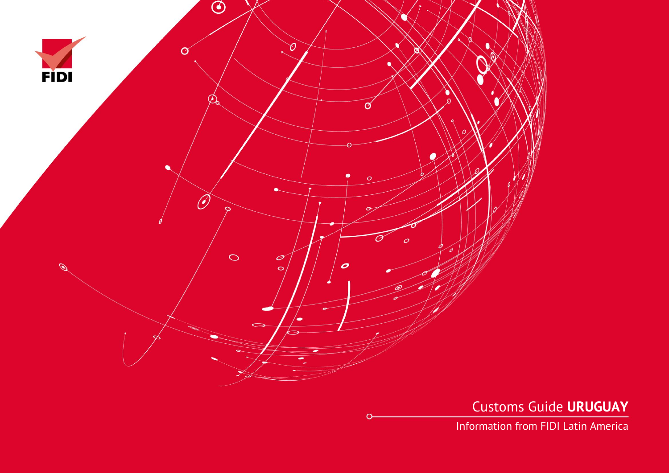

Customs Guide **URUGUAY**

Information from FIDI Latin America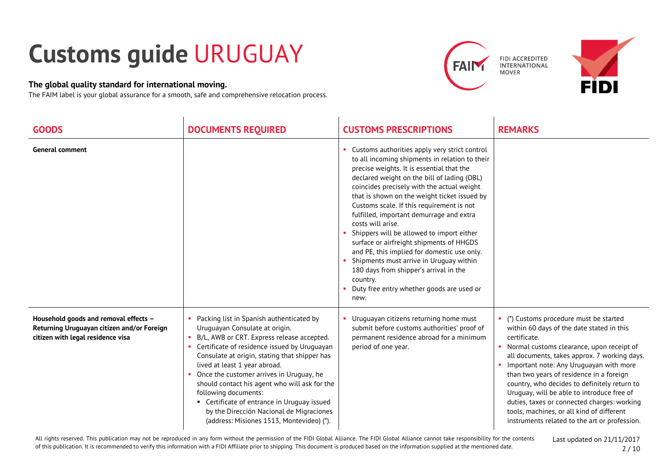## **Customs guide** URUGUAY

## **The global quality standard for international moving.**

The FAIM label is your global assurance for a smooth, safe and comprehensive relocation process.





| <b>GOODS</b>                                                                                                             | <b>DOCUMENTS REQUIRED</b>                                                                                                                                                                                                                                                                                                                                                                                                                                                                                               | <b>CUSTOMS PRESCRIPTIONS</b>                                                                                                                                                                                                                                                                                                                                                                                                                                                                                                                                                                                                                                                                          | <b>REMARKS</b>                                                                                                                                                                                                                                                                                                                                                                                                                                                                                                                    |
|--------------------------------------------------------------------------------------------------------------------------|-------------------------------------------------------------------------------------------------------------------------------------------------------------------------------------------------------------------------------------------------------------------------------------------------------------------------------------------------------------------------------------------------------------------------------------------------------------------------------------------------------------------------|-------------------------------------------------------------------------------------------------------------------------------------------------------------------------------------------------------------------------------------------------------------------------------------------------------------------------------------------------------------------------------------------------------------------------------------------------------------------------------------------------------------------------------------------------------------------------------------------------------------------------------------------------------------------------------------------------------|-----------------------------------------------------------------------------------------------------------------------------------------------------------------------------------------------------------------------------------------------------------------------------------------------------------------------------------------------------------------------------------------------------------------------------------------------------------------------------------------------------------------------------------|
| <b>General comment</b>                                                                                                   |                                                                                                                                                                                                                                                                                                                                                                                                                                                                                                                         | Customs authorities apply very strict control<br>to all incoming shipments in relation to their<br>precise weights. It is essential that the<br>declared weight on the bill of lading (OBL)<br>coincides precisely with the actual weight<br>that is shown on the weight ticket issued by<br>Customs scale. If this requirement is not<br>fulfilled, important demurrage and extra<br>costs will arise.<br>Shippers will be allowed to import either<br>surface or airfreight shipments of HHGDS<br>and PE, this implied for domestic use only.<br>Shipments must arrive in Uruguay within<br>180 days from shipper's arrival in the<br>country.<br>Duty free entry whether goods are used or<br>new. |                                                                                                                                                                                                                                                                                                                                                                                                                                                                                                                                   |
| Household goods and removal effects -<br>Returning Uruguayan citizen and/or Foreign<br>citizen with legal residence visa | Packing list in Spanish authenticated by<br>Uruguayan Consulate at origin.<br>B/L, AWB or CRT. Express release accepted.<br>Certificate of residence issued by Uruguayan<br>Consulate at origin, stating that shipper has<br>lived at least 1 year abroad.<br>Once the customer arrives in Uruguay, he<br>should contact his agent who will ask for the<br>following documents:<br>• Certificate of entrance in Uruguay issued<br>by the Dirección Nacional de Migraciones<br>(address: Misiones 1513, Montevideo) (*). | Uruguayan citizens returning home must<br>submit before customs authorities' proof of<br>permanent residence abroad for a minimum<br>period of one year.                                                                                                                                                                                                                                                                                                                                                                                                                                                                                                                                              | (*) Customs procedure must be started<br>within 60 days of the date stated in this<br>certificate.<br>Normal customs clearance, upon receipt of<br>all documents, takes approx. 7 working days.<br>Important note: Any Uruguayan with more<br>than two years of residence in a foreign<br>country, who decides to definitely return to<br>Uruguay, will be able to introduce free of<br>duties, taxes or connected charges: working<br>tools, machines, or all kind of different<br>instruments related to the art or profession. |

All rights reserved. This publication may not be reproduced in any form without the permission of the FIDI Global Alliance. The FIDI Global Alliance cannot take responsibility for the contents of this publication. It is recommended to verify this information with a FIDI Affiliate prior to shipping. This document is produced based on the information supplied at the mentioned date.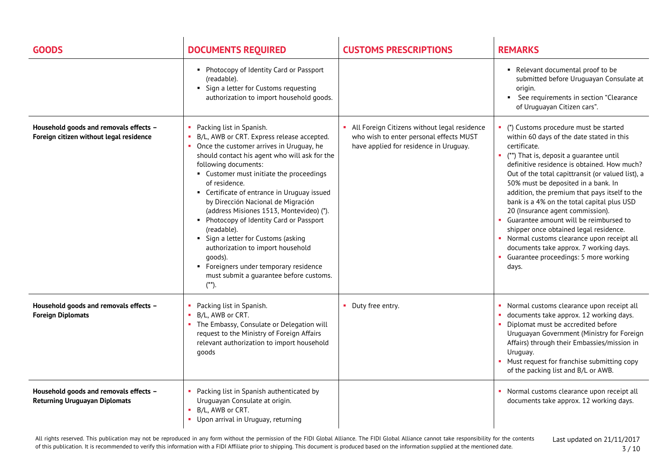| <b>GOODS</b>                                                                      | <b>DOCUMENTS REQUIRED</b>                                                                                                                                                                                                                                                                                                                                                                                                                                                                                                                                                                                                                      | <b>CUSTOMS PRESCRIPTIONS</b>                                                                                                      | <b>REMARKS</b>                                                                                                                                                                                                                                                                                                                                                                                                                                                                                                                                                                                                                                               |
|-----------------------------------------------------------------------------------|------------------------------------------------------------------------------------------------------------------------------------------------------------------------------------------------------------------------------------------------------------------------------------------------------------------------------------------------------------------------------------------------------------------------------------------------------------------------------------------------------------------------------------------------------------------------------------------------------------------------------------------------|-----------------------------------------------------------------------------------------------------------------------------------|--------------------------------------------------------------------------------------------------------------------------------------------------------------------------------------------------------------------------------------------------------------------------------------------------------------------------------------------------------------------------------------------------------------------------------------------------------------------------------------------------------------------------------------------------------------------------------------------------------------------------------------------------------------|
|                                                                                   | • Photocopy of Identity Card or Passport<br>(readable).<br>• Sign a letter for Customs requesting<br>authorization to import household goods.                                                                                                                                                                                                                                                                                                                                                                                                                                                                                                  |                                                                                                                                   | Relevant documental proof to be<br>submitted before Uruguayan Consulate at<br>origin.<br>See requirements in section "Clearance<br>of Uruguayan Citizen cars".                                                                                                                                                                                                                                                                                                                                                                                                                                                                                               |
| Household goods and removals effects -<br>Foreign citizen without legal residence | Packing list in Spanish.<br>B/L, AWB or CRT. Express release accepted.<br>• Once the customer arrives in Uruguay, he<br>should contact his agent who will ask for the<br>following documents:<br>• Customer must initiate the proceedings<br>of residence.<br>• Certificate of entrance in Uruguay issued<br>by Dirección Nacional de Migración<br>(address Misiones 1513, Montevideo) (*).<br>• Photocopy of Identity Card or Passport<br>(readable).<br>• Sign a letter for Customs (asking<br>authorization to import household<br>qoods).<br>• Foreigners under temporary residence<br>must submit a guarantee before customs.<br>$(**)$ . | All Foreign Citizens without legal residence<br>who wish to enter personal effects MUST<br>have applied for residence in Uruguay. | (*) Customs procedure must be started<br>within 60 days of the date stated in this<br>certificate.<br>(**) That is, deposit a guarantee until<br>definitive residence is obtained. How much?<br>Out of the total capittransit (or valued list), a<br>50% must be deposited in a bank. In<br>addition, the premium that pays itself to the<br>bank is a 4% on the total capital plus USD<br>20 (Insurance agent commission).<br>• Guarantee amount will be reimbursed to<br>shipper once obtained legal residence.<br>Normal customs clearance upon receipt all<br>documents take approx. 7 working days.<br>• Guarantee proceedings: 5 more working<br>days. |
| Household goods and removals effects -<br><b>Foreign Diplomats</b>                | Packing list in Spanish.<br>• B/L, AWB or CRT.<br>• The Embassy, Consulate or Delegation will<br>request to the Ministry of Foreign Affairs<br>relevant authorization to import household<br>goods                                                                                                                                                                                                                                                                                                                                                                                                                                             | • Duty free entry.                                                                                                                | • Normal customs clearance upon receipt all<br>documents take approx. 12 working days.<br>п.<br>• Diplomat must be accredited before<br>Uruguayan Government (Ministry for Foreign<br>Affairs) through their Embassies/mission in<br>Uruguay.<br>• Must request for franchise submitting copy<br>of the packing list and B/L or AWB.                                                                                                                                                                                                                                                                                                                         |
| Household goods and removals effects -<br><b>Returning Uruguayan Diplomats</b>    | Packing list in Spanish authenticated by<br>Uruguayan Consulate at origin.<br>• B/L, AWB or CRT.<br>• Upon arrival in Uruguay, returning                                                                                                                                                                                                                                                                                                                                                                                                                                                                                                       |                                                                                                                                   | Normal customs clearance upon receipt all<br>documents take approx. 12 working days.                                                                                                                                                                                                                                                                                                                                                                                                                                                                                                                                                                         |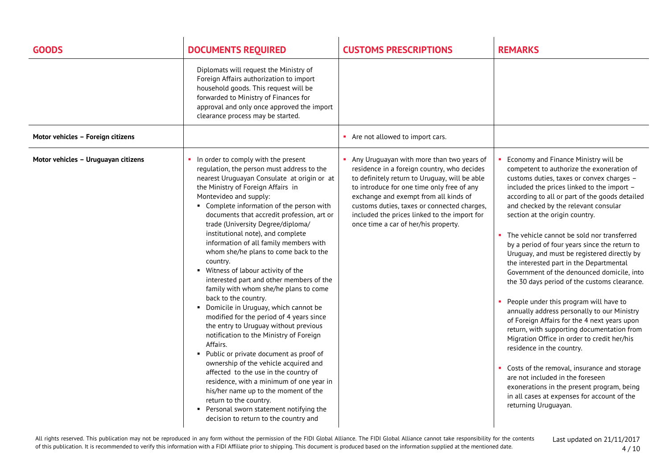| <b>GOODS</b>                        | <b>DOCUMENTS REQUIRED</b>                                                                                                                                                                                                                                                                                                                                                                                                                                                                                                                                                                                                                                                                                                                                                                                                                                                                                                                                                                                                                                                                                                                     | <b>CUSTOMS PRESCRIPTIONS</b>                                                                                                                                                                                                                                                                                                                                              | <b>REMARKS</b>                                                                                                                                                                                                                                                                                                                                                                                                                                                                                                                                                                                                                                                                                                                                                                                                                                                                                                                                                                                                                                                             |
|-------------------------------------|-----------------------------------------------------------------------------------------------------------------------------------------------------------------------------------------------------------------------------------------------------------------------------------------------------------------------------------------------------------------------------------------------------------------------------------------------------------------------------------------------------------------------------------------------------------------------------------------------------------------------------------------------------------------------------------------------------------------------------------------------------------------------------------------------------------------------------------------------------------------------------------------------------------------------------------------------------------------------------------------------------------------------------------------------------------------------------------------------------------------------------------------------|---------------------------------------------------------------------------------------------------------------------------------------------------------------------------------------------------------------------------------------------------------------------------------------------------------------------------------------------------------------------------|----------------------------------------------------------------------------------------------------------------------------------------------------------------------------------------------------------------------------------------------------------------------------------------------------------------------------------------------------------------------------------------------------------------------------------------------------------------------------------------------------------------------------------------------------------------------------------------------------------------------------------------------------------------------------------------------------------------------------------------------------------------------------------------------------------------------------------------------------------------------------------------------------------------------------------------------------------------------------------------------------------------------------------------------------------------------------|
|                                     | Diplomats will request the Ministry of<br>Foreign Affairs authorization to import<br>household goods. This request will be<br>forwarded to Ministry of Finances for<br>approval and only once approved the import<br>clearance process may be started.                                                                                                                                                                                                                                                                                                                                                                                                                                                                                                                                                                                                                                                                                                                                                                                                                                                                                        |                                                                                                                                                                                                                                                                                                                                                                           |                                                                                                                                                                                                                                                                                                                                                                                                                                                                                                                                                                                                                                                                                                                                                                                                                                                                                                                                                                                                                                                                            |
| Motor vehicles - Foreign citizens   |                                                                                                                                                                                                                                                                                                                                                                                                                                                                                                                                                                                                                                                                                                                                                                                                                                                                                                                                                                                                                                                                                                                                               | • Are not allowed to import cars.                                                                                                                                                                                                                                                                                                                                         |                                                                                                                                                                                                                                                                                                                                                                                                                                                                                                                                                                                                                                                                                                                                                                                                                                                                                                                                                                                                                                                                            |
| Motor vehicles - Uruguayan citizens | In order to comply with the present<br>regulation, the person must address to the<br>nearest Uruguayan Consulate at origin or at<br>the Ministry of Foreign Affairs in<br>Montevideo and supply:<br>• Complete information of the person with<br>documents that accredit profession, art or<br>trade (University Degree/diploma/<br>institutional note), and complete<br>information of all family members with<br>whom she/he plans to come back to the<br>country.<br>• Witness of labour activity of the<br>interested part and other members of the<br>family with whom she/he plans to come<br>back to the country.<br>• Domicile in Uruguay, which cannot be<br>modified for the period of 4 years since<br>the entry to Uruguay without previous<br>notification to the Ministry of Foreign<br>Affairs.<br>• Public or private document as proof of<br>ownership of the vehicle acquired and<br>affected to the use in the country of<br>residence, with a minimum of one year in<br>his/her name up to the moment of the<br>return to the country.<br>Personal sworn statement notifying the<br>decision to return to the country and | • Any Uruguayan with more than two years of<br>residence in a foreign country, who decides<br>to definitely return to Uruguay, will be able<br>to introduce for one time only free of any<br>exchange and exempt from all kinds of<br>customs duties, taxes or connected charges,<br>included the prices linked to the import for<br>once time a car of her/his property. | Economy and Finance Ministry will be<br>competent to authorize the exoneration of<br>customs duties, taxes or convex charges -<br>included the prices linked to the import -<br>according to all or part of the goods detailed<br>and checked by the relevant consular<br>section at the origin country.<br>The vehicle cannot be sold nor transferred<br>by a period of four years since the return to<br>Uruguay, and must be registered directly by<br>the interested part in the Departmental<br>Government of the denounced domicile, into<br>the 30 days period of the customs clearance.<br>People under this program will have to<br>annually address personally to our Ministry<br>of Foreign Affairs for the 4 next years upon<br>return, with supporting documentation from<br>Migration Office in order to credit her/his<br>residence in the country.<br>Costs of the removal, insurance and storage<br>are not included in the foreseen<br>exonerations in the present program, being<br>in all cases at expenses for account of the<br>returning Uruguayan. |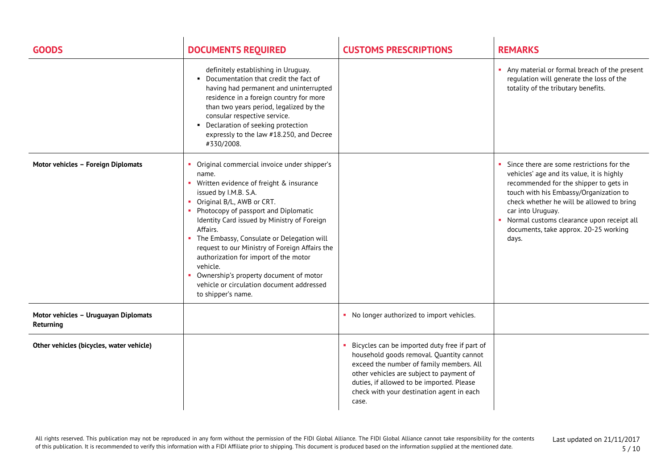| <b>GOODS</b>                                      | <b>DOCUMENTS REQUIRED</b>                                                                                                                                                                                                                                                                                                                                                                                                                                                                                                       | <b>CUSTOMS PRESCRIPTIONS</b>                                                                                                                                                                                                                                                         | <b>REMARKS</b>                                                                                                                                                                                                                                                                                                                              |
|---------------------------------------------------|---------------------------------------------------------------------------------------------------------------------------------------------------------------------------------------------------------------------------------------------------------------------------------------------------------------------------------------------------------------------------------------------------------------------------------------------------------------------------------------------------------------------------------|--------------------------------------------------------------------------------------------------------------------------------------------------------------------------------------------------------------------------------------------------------------------------------------|---------------------------------------------------------------------------------------------------------------------------------------------------------------------------------------------------------------------------------------------------------------------------------------------------------------------------------------------|
|                                                   | definitely establishing in Uruguay.<br>• Documentation that credit the fact of<br>having had permanent and uninterrupted<br>residence in a foreign country for more<br>than two years period, legalized by the<br>consular respective service.<br>• Declaration of seeking protection<br>expressly to the law #18.250, and Decree<br>#330/2008.                                                                                                                                                                                 |                                                                                                                                                                                                                                                                                      | Any material or formal breach of the present<br>regulation will generate the loss of the<br>totality of the tributary benefits.                                                                                                                                                                                                             |
| Motor vehicles - Foreign Diplomats                | Original commercial invoice under shipper's<br>name.<br>• Written evidence of freight & insurance<br>issued by I.M.B. S.A.<br>Original B/L, AWB or CRT.<br>• Photocopy of passport and Diplomatic<br>Identity Card issued by Ministry of Foreign<br>Affairs.<br>• The Embassy, Consulate or Delegation will<br>request to our Ministry of Foreign Affairs the<br>authorization for import of the motor<br>vehicle.<br>Ownership's property document of motor<br>vehicle or circulation document addressed<br>to shipper's name. |                                                                                                                                                                                                                                                                                      | Since there are some restrictions for the<br>vehicles' age and its value, it is highly<br>recommended for the shipper to gets in<br>touch with his Embassy/Organization to<br>check whether he will be allowed to bring<br>car into Uruguay.<br>Normal customs clearance upon receipt all<br>documents, take approx. 20-25 working<br>days. |
| Motor vehicles - Uruguayan Diplomats<br>Returning |                                                                                                                                                                                                                                                                                                                                                                                                                                                                                                                                 | • No longer authorized to import vehicles.                                                                                                                                                                                                                                           |                                                                                                                                                                                                                                                                                                                                             |
| Other vehicles (bicycles, water vehicle)          |                                                                                                                                                                                                                                                                                                                                                                                                                                                                                                                                 | Bicycles can be imported duty free if part of<br>household goods removal. Quantity cannot<br>exceed the number of family members. All<br>other vehicles are subject to payment of<br>duties, if allowed to be imported. Please<br>check with your destination agent in each<br>case. |                                                                                                                                                                                                                                                                                                                                             |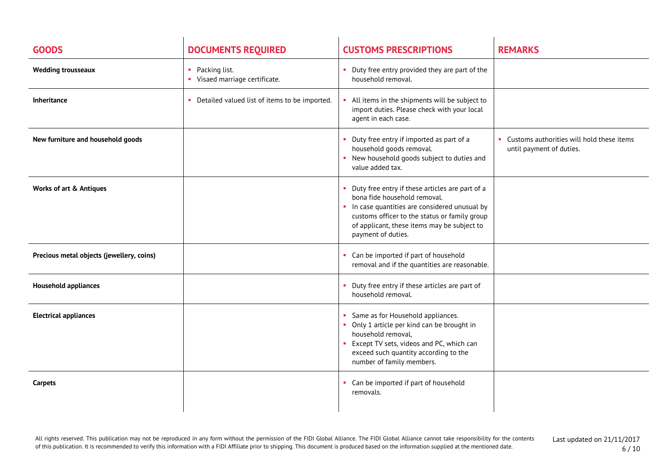| <b>GOODS</b>                              | <b>DOCUMENTS REQUIRED</b>                                                    | <b>CUSTOMS PRESCRIPTIONS</b>                                                                                                                                                                                                                          | <b>REMARKS</b>                                                          |
|-------------------------------------------|------------------------------------------------------------------------------|-------------------------------------------------------------------------------------------------------------------------------------------------------------------------------------------------------------------------------------------------------|-------------------------------------------------------------------------|
| <b>Wedding trousseaux</b>                 | Packing list.<br><b>COL</b><br>• Visaed marriage certificate.                | Duty free entry provided they are part of the<br>household removal.                                                                                                                                                                                   |                                                                         |
| Inheritance                               | Detailed valued list of items to be imported.<br>$\mathcal{L}_{\mathcal{A}}$ | All items in the shipments will be subject to<br>import duties. Please check with your local<br>agent in each case.                                                                                                                                   |                                                                         |
| New furniture and household goods         |                                                                              | Duty free entry if imported as part of a<br>household goods removal.<br>• New household goods subject to duties and<br>value added tax.                                                                                                               | • Customs authorities will hold these items<br>until payment of duties. |
| <b>Works of art &amp; Antiques</b>        |                                                                              | Duty free entry if these articles are part of a<br>bona fide household removal.<br>In case quantities are considered unusual by<br>customs officer to the status or family group<br>of applicant, these items may be subject to<br>payment of duties. |                                                                         |
| Precious metal objects (jewellery, coins) |                                                                              | Can be imported if part of household<br>removal and if the quantities are reasonable.                                                                                                                                                                 |                                                                         |
| <b>Household appliances</b>               |                                                                              | Duty free entry if these articles are part of<br>household removal.                                                                                                                                                                                   |                                                                         |
| <b>Electrical appliances</b>              |                                                                              | Same as for Household appliances.<br>Only 1 article per kind can be brought in<br>household removal,<br>Except TV sets, videos and PC, which can<br>exceed such quantity according to the<br>number of family members.                                |                                                                         |
| Carpets                                   |                                                                              | • Can be imported if part of household<br>removals.                                                                                                                                                                                                   |                                                                         |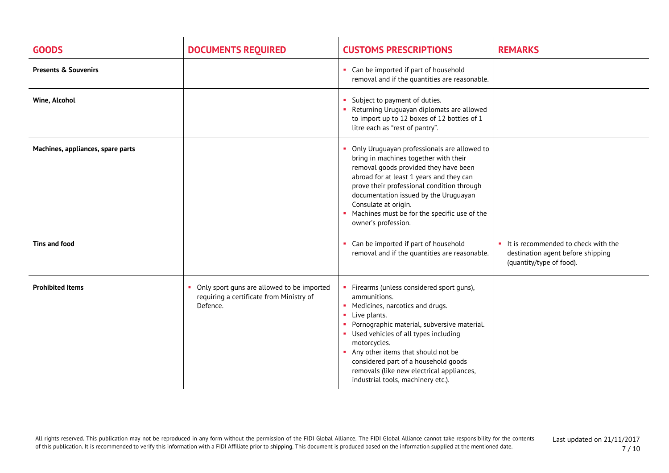| <b>GOODS</b>                      | <b>DOCUMENTS REQUIRED</b>                                                                          | <b>CUSTOMS PRESCRIPTIONS</b>                                                                                                                                                                                                                                                                                                                                                                  | <b>REMARKS</b>                                                                                       |
|-----------------------------------|----------------------------------------------------------------------------------------------------|-----------------------------------------------------------------------------------------------------------------------------------------------------------------------------------------------------------------------------------------------------------------------------------------------------------------------------------------------------------------------------------------------|------------------------------------------------------------------------------------------------------|
| <b>Presents &amp; Souvenirs</b>   |                                                                                                    | • Can be imported if part of household<br>removal and if the quantities are reasonable.                                                                                                                                                                                                                                                                                                       |                                                                                                      |
| Wine, Alcohol                     |                                                                                                    | Subject to payment of duties.<br>• Returning Uruguayan diplomats are allowed<br>to import up to 12 boxes of 12 bottles of 1<br>litre each as "rest of pantry".                                                                                                                                                                                                                                |                                                                                                      |
| Machines, appliances, spare parts |                                                                                                    | Only Uruguayan professionals are allowed to<br>bring in machines together with their<br>removal goods provided they have been<br>abroad for at least 1 years and they can<br>prove their professional condition through<br>documentation issued by the Uruguayan<br>Consulate at origin.<br>Machines must be for the specific use of the<br>owner's profession.                               |                                                                                                      |
| Tins and food                     |                                                                                                    | Can be imported if part of household<br>removal and if the quantities are reasonable.                                                                                                                                                                                                                                                                                                         | It is recommended to check with the<br>destination agent before shipping<br>(quantity/type of food). |
| <b>Prohibited Items</b>           | Only sport guns are allowed to be imported<br>requiring a certificate from Ministry of<br>Defence. | • Firearms (unless considered sport guns),<br>ammunitions.<br>• Medicines, narcotics and drugs.<br>• Live plants.<br>• Pornographic material, subversive material.<br>• Used vehicles of all types including<br>motorcycles.<br>Any other items that should not be<br>considered part of a household goods<br>removals (like new electrical appliances,<br>industrial tools, machinery etc.). |                                                                                                      |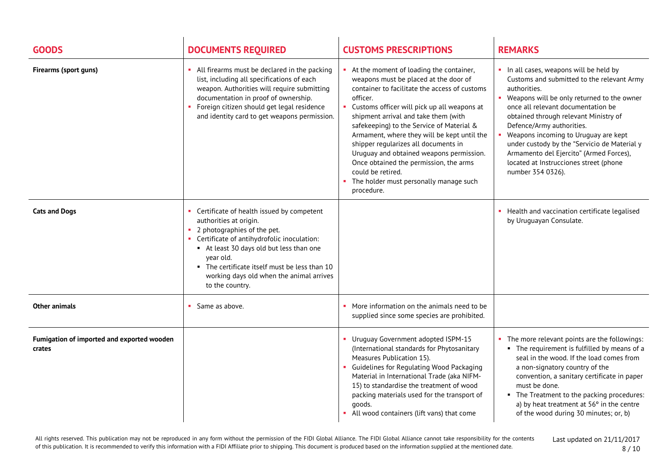| <b>GOODS</b>                                         | <b>DOCUMENTS REQUIRED</b>                                                                                                                                                                                                                                                                                                   | <b>CUSTOMS PRESCRIPTIONS</b>                                                                                                                                                                                                                                                                                                                                                                                                                                                                                                                | <b>REMARKS</b>                                                                                                                                                                                                                                                                                                                                                                                                                                                        |
|------------------------------------------------------|-----------------------------------------------------------------------------------------------------------------------------------------------------------------------------------------------------------------------------------------------------------------------------------------------------------------------------|---------------------------------------------------------------------------------------------------------------------------------------------------------------------------------------------------------------------------------------------------------------------------------------------------------------------------------------------------------------------------------------------------------------------------------------------------------------------------------------------------------------------------------------------|-----------------------------------------------------------------------------------------------------------------------------------------------------------------------------------------------------------------------------------------------------------------------------------------------------------------------------------------------------------------------------------------------------------------------------------------------------------------------|
| Firearms (sport guns)                                | • All firearms must be declared in the packing<br>list, including all specifications of each<br>weapon. Authorities will require submitting<br>documentation in proof of ownership.<br>Foreign citizen should get legal residence<br>and identity card to get weapons permission.                                           | At the moment of loading the container,<br>weapons must be placed at the door of<br>container to facilitate the access of customs<br>officer.<br>Customs officer will pick up all weapons at<br>shipment arrival and take them (with<br>safekeeping) to the Service of Material &<br>Armament, where they will be kept until the<br>shipper regularizes all documents in<br>Uruguay and obtained weapons permission.<br>Once obtained the permission, the arms<br>could be retired.<br>The holder must personally manage such<br>procedure. | . In all cases, weapons will be held by<br>Customs and submitted to the relevant Army<br>authorities.<br>• Weapons will be only returned to the owner<br>once all relevant documentation be<br>obtained through relevant Ministry of<br>Defence/Army authorities.<br>• Weapons incoming to Uruguay are kept<br>under custody by the "Servicio de Material y<br>Armamento del Ejercito" (Armed Forces),<br>located at Instrucciones street (phone<br>number 354 0326). |
| <b>Cats and Dogs</b>                                 | • Certificate of health issued by competent<br>authorities at origin.<br>2 photographies of the pet.<br>• Certificate of antihydrofolic inoculation:<br>At least 30 days old but less than one<br>year old.<br>• The certificate itself must be less than 10<br>working days old when the animal arrives<br>to the country. |                                                                                                                                                                                                                                                                                                                                                                                                                                                                                                                                             | Health and vaccination certificate legalised<br>by Uruguayan Consulate.                                                                                                                                                                                                                                                                                                                                                                                               |
| <b>Other animals</b>                                 | Same as above.                                                                                                                                                                                                                                                                                                              | • More information on the animals need to be<br>supplied since some species are prohibited.                                                                                                                                                                                                                                                                                                                                                                                                                                                 |                                                                                                                                                                                                                                                                                                                                                                                                                                                                       |
| Fumigation of imported and exported wooden<br>crates |                                                                                                                                                                                                                                                                                                                             | Uruguay Government adopted ISPM-15<br>(International standards for Phytosanitary<br>Measures Publication 15).<br>Guidelines for Regulating Wood Packaging<br>Material in International Trade (aka NIFM-<br>15) to standardise the treatment of wood<br>packing materials used for the transport of<br>qoods.<br>All wood containers (lift vans) that come                                                                                                                                                                                   | • The more relevant points are the followings:<br>• The requirement is fulfilled by means of a<br>seal in the wood. If the load comes from<br>a non-signatory country of the<br>convention, a sanitary certificate in paper<br>must be done.<br>• The Treatment to the packing procedures:<br>a) by heat treatment at $56o$ in the centre<br>of the wood during 30 minutes; or, b)                                                                                    |

All rights reserved. This publication may not be reproduced in any form without the permission of the FIDI Global Alliance. The FIDI Global Alliance cannot take responsibility for the contents of this publication. It is recommended to verify this information with a FIDI Affiliate prior to shipping. This document is produced based on the information supplied at the mentioned date.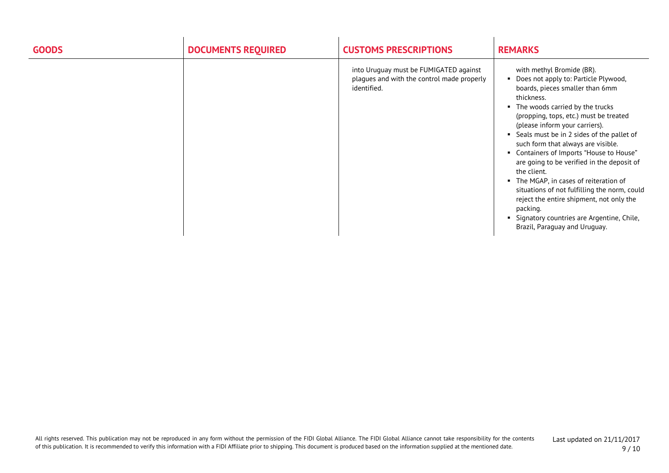| <b>GOODS</b> | <b>DOCUMENTS REQUIRED</b> | <b>CUSTOMS PRESCRIPTIONS</b>                                                                        | <b>REMARKS</b>                                                                                                                                                                                                                                                                                                                                                                                                                                                                                                                                                                                                                                                      |
|--------------|---------------------------|-----------------------------------------------------------------------------------------------------|---------------------------------------------------------------------------------------------------------------------------------------------------------------------------------------------------------------------------------------------------------------------------------------------------------------------------------------------------------------------------------------------------------------------------------------------------------------------------------------------------------------------------------------------------------------------------------------------------------------------------------------------------------------------|
|              |                           | into Uruguay must be FUMIGATED against<br>plagues and with the control made properly<br>identified. | with methyl Bromide (BR).<br>Does not apply to: Particle Plywood,<br>boards, pieces smaller than 6mm<br>thickness.<br>The woods carried by the trucks<br>٠<br>(propping, tops, etc.) must be treated<br>(please inform your carriers).<br>Seals must be in 2 sides of the pallet of<br>such form that always are visible.<br>Containers of Imports "House to House"<br>are going to be verified in the deposit of<br>the client.<br>The MGAP, in cases of reiteration of<br>٠<br>situations of not fulfilling the norm, could<br>reject the entire shipment, not only the<br>packing.<br>Signatory countries are Argentine, Chile,<br>Brazil, Paraguay and Uruguay. |